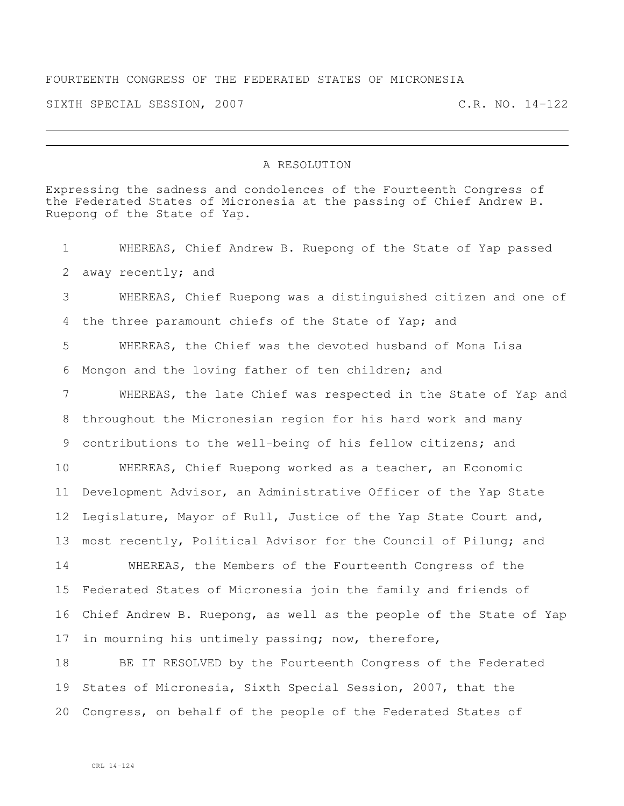## FOURTEENTH CONGRESS OF THE FEDERATED STATES OF MICRONESIA

SIXTH SPECIAL SESSION, 2007 C.R. NO. 14-122

## A RESOLUTION

Expressing the sadness and condolences of the Fourteenth Congress of the Federated States of Micronesia at the passing of Chief Andrew B. Ruepong of the State of Yap.

 WHEREAS, Chief Andrew B. Ruepong of the State of Yap passed away recently; and WHEREAS, Chief Ruepong was a distinguished citizen and one of the three paramount chiefs of the State of Yap; and WHEREAS, the Chief was the devoted husband of Mona Lisa Mongon and the loving father of ten children; and WHEREAS, the late Chief was respected in the State of Yap and throughout the Micronesian region for his hard work and many contributions to the well-being of his fellow citizens; and WHEREAS, Chief Ruepong worked as a teacher, an Economic Development Advisor, an Administrative Officer of the Yap State Legislature, Mayor of Rull, Justice of the Yap State Court and, most recently, Political Advisor for the Council of Pilung; and WHEREAS, the Members of the Fourteenth Congress of the Federated States of Micronesia join the family and friends of Chief Andrew B. Ruepong, as well as the people of the State of Yap in mourning his untimely passing; now, therefore, BE IT RESOLVED by the Fourteenth Congress of the Federated States of Micronesia, Sixth Special Session, 2007, that the

Congress, on behalf of the people of the Federated States of